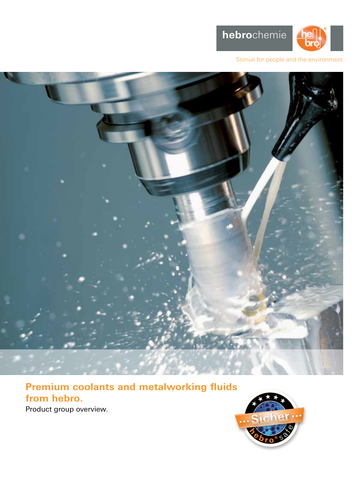**hebro**chemie



### Stimuli for people and the environment



# **Premium coolants and metalworking fluids from hebro.**

Product group overview.

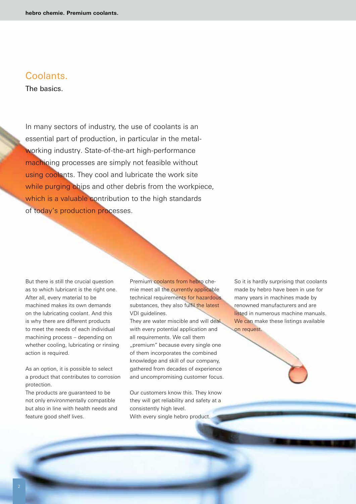### Coolants.

The basics.

In many sectors of industry, the use of coolants is an essential part of production, in particular in the metalworking industry. State-of-the-art high-performance machining processes are simply not feasible without using coolants. They cool and lubricate the work site while purging chips and other debris from the workpiece, which is a valuable contribution to the high standards of today's production processes.

But there is still the crucial question as to which lubricant is the right one. After all, every material to be machined makes its own demands on the lubricating coolant. And this is why there are different products to meet the needs of each individual machining process – depending on whether cooling, lubricating or rinsing action is required.

As an option, it is possible to select a product that contributes to corrosion protection.

The products are guaranteed to be not only environmentally compatible but also in line with health needs and feature good shelf lives.

Premium coolants from hebro chemie meet all the currently applicable technical requirements for hazardous substances, they also fulfil the latest VDI guidelines.

They are water miscible and will deal with every potential application and all requirements. We call them "premium" because every single one of them incorporates the combined knowledge and skill of our company, gathered from decades of experience and uncompromising customer focus.

Our customers know this. They know they will get reliability and safety at a consistently high level. With every single hebro product.

So it is hardly surprising that coolants made by hebro have been in use for many years in machines made by renowned manufacturers and are listed in numerous machine manuals. We can make these listings available on request.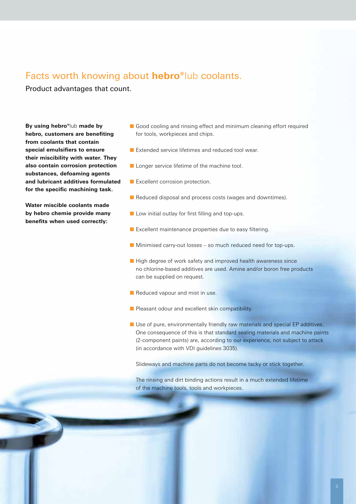### Facts worth knowing about **hebro®**lub coolants.

Product advantages that count.

**By using hebro®**lub **made by hebro, customers are benefiting from coolants that contain special emulsifiers to ensure their miscibility with water. They also contain corrosion protection substances, defoaming agents and lubricant additives formulated for the specific machining task.** 

**Water miscible coolants made by hebro chemie provide many benefits when used correctly:** 

- Good cooling and rinsing effect and minimum cleaning effort required for tools, workpieces and chips.
- Extended service lifetimes and reduced tool wear.
- Longer service lifetime of the machine tool.
- Excellent corrosion protection.
- Reduced disposal and process costs (wages and downtimes).
- Low initial outlay for first filling and top-ups.
- Excellent maintenance properties due to easy filtering.
- Minimised carry-out losses so much reduced need for top-ups.
- High degree of work safety and improved health awareness since no chlorine-based additives are used. Amine and/or boron free products can be supplied on request.
- Reduced vapour and mist in use.
- **Pleasant odour and excellent skin compatibility.**
- Use of pure, environmentally friendly raw materials and special EP additives. One consequence of this is that standard sealing materials and machine paints (2-component paints) are, according to our experience, not subject to attack (in accordance with VDI guidelines 3035).

Slideways and machine parts do not become tacky or stick together.

 The rinsing and dirt binding actions result in a much extended lifetime of the machine tools, tools and workpieces.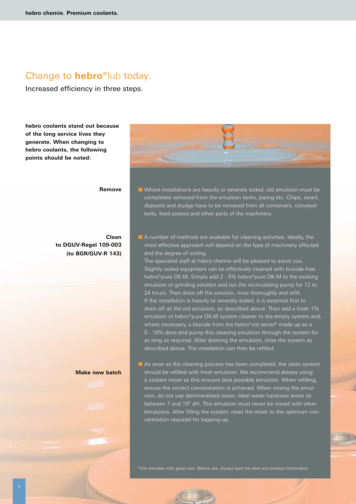# Change to **hebro®**lub today.

Increased efficiency in three steps.

**hebro coolants stand out because of the long service lives they generate. When changing to hebro coolants, the following points should be noted:**



■ Where installations are heavily or severely soiled, old emulsion must be completely removed from the emulsion tanks, piping etc. Chips, swarf, deposits and sludge have to be removed from all containers, conveyor

**Remove**

**Clean to DGUV-Regel 109-003 (to BGR/GUV-R 143)**

#### **Make new batch**

■ A number of methods are available for cleaning activities. Ideally, the

most effective approach will depend on the type of machinery affected

belts, feed screws and other parts of the machinery.

and the degree of soiling. The specialist staff at hebro chemie will be pleased to assist you. Slightly soiled equipment can be effectively cleaned with biocide-free hebro®pure OK-M. Simply add 2 - 5% hebro®pure OK-M to the existing emulsion or grinding solution and run the recirculating pump for 12 to 24 hours. Then drain off the solution, rinse thoroughly and refill. If the installation is heavily or severely soiled, it is essential first to drain off all the old emulsion, as described above. Then add a fresh 1% emulsion of hebro®pure OK-M system cleaner to the empty system and, where necessary, a biocide from the hebro®cid series\* made up as a 5 - 10% dose and pump this cleaning emulsion through the system for as long as required. After draining the emulsion, rinse the system as described above. The installation can then be refilled.

 $\blacksquare$  As soon as the cleaning process has been completed, the clean system should be refilled with fresh emulsion. We recommend always using a coolant mixer as this ensures best possible emulsion. When refilling, ensure the correct concentration is achieved. When mixing the emulsion, do not use demineralised water. Ideal water hardness levels lie between 7 and 15° dH. This emulsion must never be mixed with other emulsions. After filling the system, reset the mixer to the optimum concentration required for topping-up.

\*Use biocides with great care. Before use, always read the label and product information.

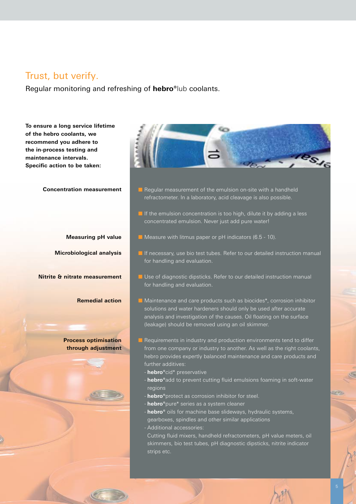## Trust, but verify.

Regular monitoring and refreshing of **hebro®**lub coolants.

**To ensure a long service lifetime of the hebro coolants, we recommend you adhere to the in-process testing and maintenance intervals. Specific action to be taken:**

**Concentration measurement**

**Measuring pH value**

**Microbiological analysis**

**Nitrite & nitrate measurement**

**Remedial action**

**Process optimisation through adjustment**



- Regular measurement of the emulsion on-site with a handheld refractometer. In a laboratory, acid cleavage is also possible.
- If the emulsion concentration is too high, dilute it by adding a less concentrated emulsion. Never just add pure water!
- Measure with litmus paper or pH indicators (6.5 10).
- If necessary, use bio test tubes. Refer to our detailed instruction manual for handling and evaluation.
- Use of diagnostic dipsticks. Refer to our detailed instruction manual for handling and evaluation.
- Maintenance and care products such as biocides<sup>\*</sup>, corrosion inhibitor solutions and water hardeners should only be used after accurate analysis and investigation of the causes. Oil floating on the surface (leakage) should be removed using an oil skimmer.
- Requirements in industry and production environments tend to differ from one company or industry to another. As well as the right coolants, hebro provides expertly balanced maintenance and care products and further additives:
	- **hebro®**cid\* preservative
	- **hebro®**add to prevent cutting fluid emulsions foaming in soft-water regions

28.92

- **hebro®**protect as corrosion inhibitor for steel.
- **hebro®**pure\* series as a system cleaner
- **hebro®** oils for machine base slideways, hydraulic systems,
- gearboxes, spindles and other similar applications - Additional accessories:

Cutting fluid mixers, handheld refractometers, pH value meters, oil skimmers, bio test tubes, pH diagnostic dipsticks, nitrite indicator strips etc.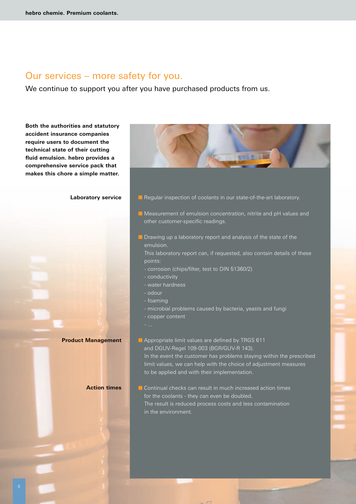### Our services – more safety for you.

We continue to support you after you have purchased products from us.

**Both the authorities and statutory accident insurance companies require users to document the technical state of their cutting fluid emulsion. hebro provides a comprehensive service pack that makes this chore a simple matter.**

#### **Laboratory service**



#### **Product Management**

**Action times**

■ Appropriate limit values are defined by TRGS 611 and DGUV-Regel 109-003 (BGR/GUV-R 143). In the event the customer has problems staying within the prescribed limit values, we can help with the choice of adjustment measures to be applied and with their implementation.

■ Continual checks can result in much increased action times for the coolants - they can even be doubled. The result is reduced process costs and less contamination in the environment.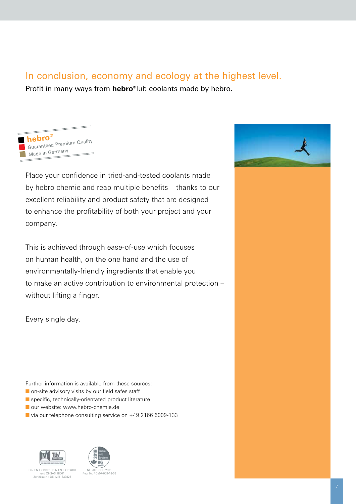# In conclusion, economy and ecology at the highest level.

Profit in many ways from **hebro®**lub coolants made by hebro.



Place your confidence in tried-and-tested coolants made by hebro chemie and reap multiple benefits – thanks to our excellent reliability and product safety that are designed to enhance the profitability of both your project and your company.

This is achieved through ease-of-use which focuses on human health, on the one hand and the use of environmentally-friendly ingredients that enable you to make an active contribution to environmental protection – without lifting a finger.

Every single day.

Further information is available from these sources:

- on-site advisory visits by our field safes staff
- specific, technically-orientated product literature
- our website: www.hebro-chemie.de
- via our telephone consulting service on +49 2166 6009-133



DIN EN ISO 9001, DIN EN ISO 14001 und OHSAS 18001 Zertifikat Nr. DE 12/81839325